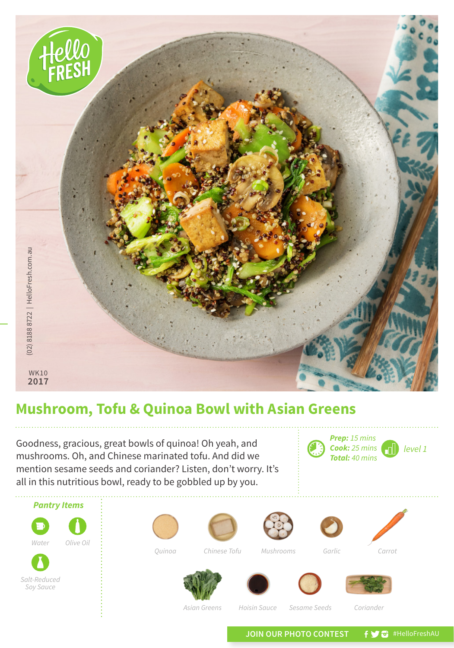

## **Mushroom, Tofu & Quinoa Bowl with Asian Greens**

*level 1* Goodness, gracious, great bowls of quinoa! Oh yeah, and **Cook:** 25 mins mushrooms. Oh, and Chinese marinated tofu. And did we mention sesame seeds and coriander? Listen, don't worry. It's all in this nutritious bowl, ready to be gobbled up by you.



*Prep: 15 mins Cook: 25 mins Total: 40 mins*

JOIN OUR PHOTO CONTEST **f y** a #HelloFreshAU